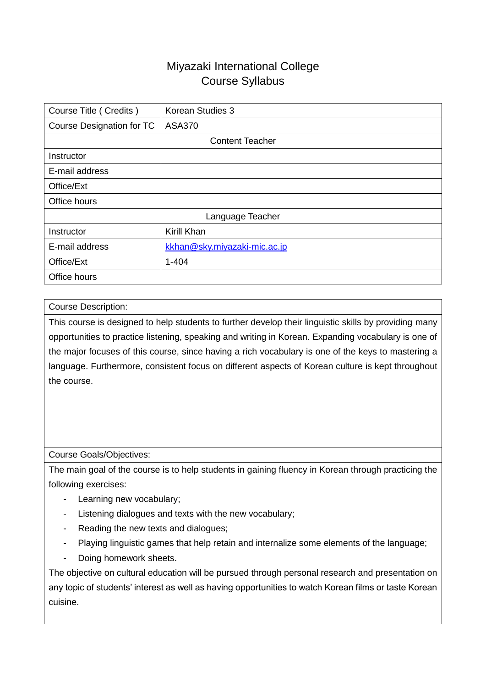## Miyazaki International College Course Syllabus

| Course Title (Credits)    | Korean Studies 3             |  |  |  |
|---------------------------|------------------------------|--|--|--|
| Course Designation for TC | <b>ASA370</b>                |  |  |  |
| <b>Content Teacher</b>    |                              |  |  |  |
| Instructor                |                              |  |  |  |
| E-mail address            |                              |  |  |  |
| Office/Ext                |                              |  |  |  |
| Office hours              |                              |  |  |  |
| Language Teacher          |                              |  |  |  |
| Instructor                | Kirill Khan                  |  |  |  |
| E-mail address            | kkhan@sky.miyazaki-mic.ac.jp |  |  |  |
| Office/Ext                | $1 - 404$                    |  |  |  |
| Office hours              |                              |  |  |  |

## Course Description:

This course is designed to help students to further develop their linguistic skills by providing many opportunities to practice listening, speaking and writing in Korean. Expanding vocabulary is one of the major focuses of this course, since having a rich vocabulary is one of the keys to mastering a language. Furthermore, consistent focus on different aspects of Korean culture is kept throughout the course.

## Course Goals/Objectives:

The main goal of the course is to help students in gaining fluency in Korean through practicing the following exercises:

- Learning new vocabulary;
- Listening dialogues and texts with the new vocabulary;
- Reading the new texts and dialogues;
- Playing linguistic games that help retain and internalize some elements of the language;
- Doing homework sheets.

The objective on cultural education will be pursued through personal research and presentation on any topic of students' interest as well as having opportunities to watch Korean films or taste Korean cuisine.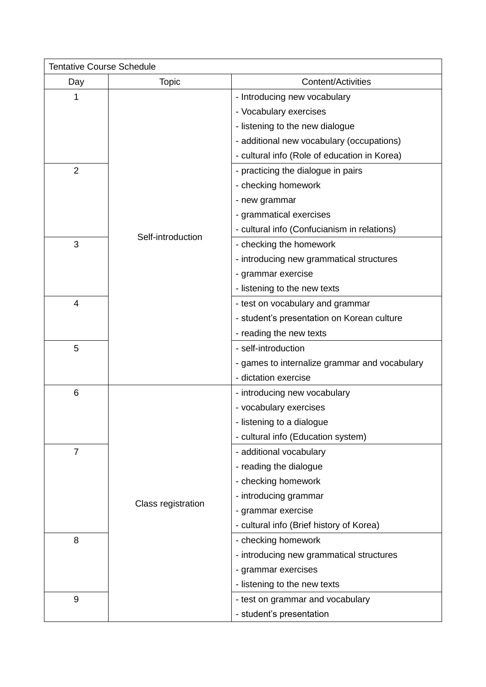|                | <b>Tentative Course Schedule</b> |                                               |  |  |  |
|----------------|----------------------------------|-----------------------------------------------|--|--|--|
| Day            | <b>Topic</b>                     | <b>Content/Activities</b>                     |  |  |  |
| 1              |                                  | - Introducing new vocabulary                  |  |  |  |
|                |                                  | - Vocabulary exercises                        |  |  |  |
|                |                                  | - listening to the new dialogue               |  |  |  |
|                |                                  | - additional new vocabulary (occupations)     |  |  |  |
|                |                                  | - cultural info (Role of education in Korea)  |  |  |  |
| $\overline{2}$ |                                  | - practicing the dialogue in pairs            |  |  |  |
|                |                                  | - checking homework                           |  |  |  |
|                |                                  | - new grammar                                 |  |  |  |
|                |                                  | - grammatical exercises                       |  |  |  |
|                |                                  | - cultural info (Confucianism in relations)   |  |  |  |
| 3              | Self-introduction                | - checking the homework                       |  |  |  |
|                |                                  | - introducing new grammatical structures      |  |  |  |
|                |                                  | - grammar exercise                            |  |  |  |
|                |                                  | - listening to the new texts                  |  |  |  |
| $\overline{4}$ |                                  | - test on vocabulary and grammar              |  |  |  |
|                |                                  | - student's presentation on Korean culture    |  |  |  |
|                |                                  | - reading the new texts                       |  |  |  |
| 5              |                                  | - self-introduction                           |  |  |  |
|                |                                  | - games to internalize grammar and vocabulary |  |  |  |
|                |                                  | - dictation exercise                          |  |  |  |
| 6              |                                  | - introducing new vocabulary                  |  |  |  |
|                |                                  | - vocabulary exercises                        |  |  |  |
|                |                                  | - listening to a dialogue                     |  |  |  |
|                |                                  | - cultural info (Education system)            |  |  |  |
| $\overline{7}$ |                                  | - additional vocabulary                       |  |  |  |
|                |                                  | - reading the dialogue                        |  |  |  |
|                |                                  | - checking homework                           |  |  |  |
|                |                                  | - introducing grammar                         |  |  |  |
|                | Class registration               | - grammar exercise                            |  |  |  |
|                |                                  | - cultural info (Brief history of Korea)      |  |  |  |
| 8              |                                  | - checking homework                           |  |  |  |
|                |                                  | - introducing new grammatical structures      |  |  |  |
|                |                                  | - grammar exercises                           |  |  |  |
|                |                                  | - listening to the new texts                  |  |  |  |
| 9              |                                  | - test on grammar and vocabulary              |  |  |  |
|                |                                  | - student's presentation                      |  |  |  |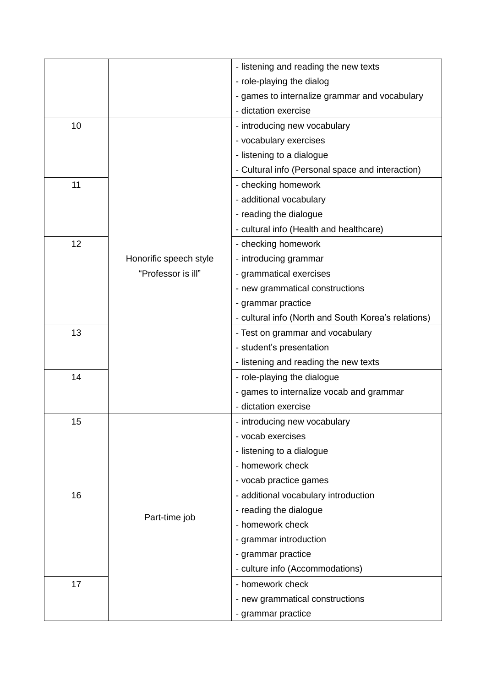|    |                        | - listening and reading the new texts               |
|----|------------------------|-----------------------------------------------------|
|    |                        | - role-playing the dialog                           |
|    |                        | - games to internalize grammar and vocabulary       |
|    |                        | - dictation exercise                                |
| 10 |                        | - introducing new vocabulary                        |
|    |                        | - vocabulary exercises                              |
|    |                        | - listening to a dialogue                           |
|    |                        | - Cultural info (Personal space and interaction)    |
| 11 |                        | - checking homework                                 |
|    |                        | - additional vocabulary                             |
|    |                        | - reading the dialogue                              |
|    |                        | - cultural info (Health and healthcare)             |
| 12 |                        | - checking homework                                 |
|    | Honorific speech style | - introducing grammar                               |
|    | "Professor is ill"     | - grammatical exercises                             |
|    |                        | - new grammatical constructions                     |
|    |                        | - grammar practice                                  |
|    |                        | - cultural info (North and South Korea's relations) |
| 13 |                        | - Test on grammar and vocabulary                    |
|    |                        | - student's presentation                            |
|    |                        | - listening and reading the new texts               |
| 14 |                        | - role-playing the dialogue                         |
|    |                        | - games to internalize vocab and grammar            |
|    |                        | - dictation exercise                                |
| 15 |                        | - introducing new vocabulary                        |
|    |                        | - vocab exercises                                   |
|    |                        | - listening to a dialogue                           |
|    |                        | - homework check                                    |
|    |                        | - vocab practice games                              |
| 16 |                        | - additional vocabulary introduction                |
|    | Part-time job          | - reading the dialogue                              |
|    |                        | - homework check                                    |
|    |                        | - grammar introduction                              |
|    |                        | - grammar practice                                  |
|    |                        | - culture info (Accommodations)                     |
| 17 |                        | - homework check                                    |
|    |                        | - new grammatical constructions                     |
|    |                        | - grammar practice                                  |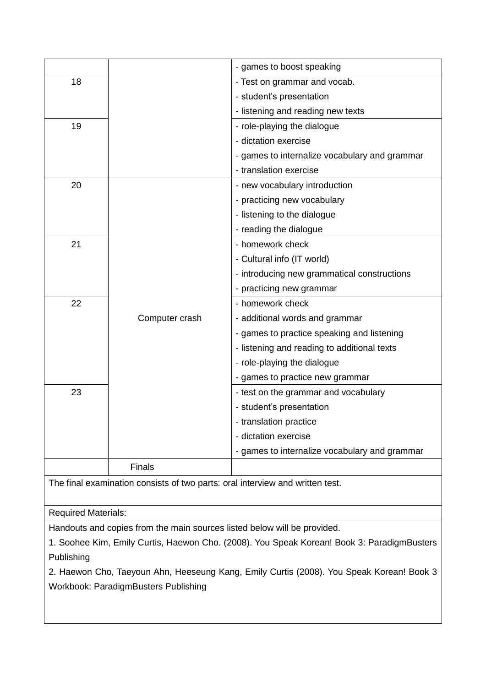|                                                                                            |                | - games to boost speaking                                                |  |  |
|--------------------------------------------------------------------------------------------|----------------|--------------------------------------------------------------------------|--|--|
| 18                                                                                         |                | - Test on grammar and vocab.                                             |  |  |
|                                                                                            |                | - student's presentation                                                 |  |  |
|                                                                                            |                | - listening and reading new texts                                        |  |  |
| 19                                                                                         |                | - role-playing the dialogue                                              |  |  |
|                                                                                            |                | - dictation exercise                                                     |  |  |
|                                                                                            |                | - games to internalize vocabulary and grammar                            |  |  |
|                                                                                            |                | - translation exercise                                                   |  |  |
| 20                                                                                         |                | - new vocabulary introduction                                            |  |  |
|                                                                                            |                | - practicing new vocabulary                                              |  |  |
|                                                                                            |                | - listening to the dialogue                                              |  |  |
|                                                                                            |                | - reading the dialogue                                                   |  |  |
| 21                                                                                         |                | - homework check                                                         |  |  |
|                                                                                            |                | - Cultural info (IT world)                                               |  |  |
|                                                                                            |                | - introducing new grammatical constructions                              |  |  |
|                                                                                            |                | - practicing new grammar                                                 |  |  |
| 22                                                                                         |                | - homework check                                                         |  |  |
|                                                                                            | Computer crash | - additional words and grammar                                           |  |  |
|                                                                                            |                | - games to practice speaking and listening                               |  |  |
|                                                                                            |                | - listening and reading to additional texts                              |  |  |
|                                                                                            |                | - role-playing the dialogue                                              |  |  |
|                                                                                            |                | - games to practice new grammar                                          |  |  |
| 23                                                                                         |                | - test on the grammar and vocabulary                                     |  |  |
|                                                                                            |                | - student's presentation                                                 |  |  |
|                                                                                            |                | - translation practice                                                   |  |  |
|                                                                                            |                | - dictation exercise                                                     |  |  |
|                                                                                            |                | - games to internalize vocabulary and grammar                            |  |  |
|                                                                                            | Finals         |                                                                          |  |  |
| The final examination consists of two parts: oral interview and written test.              |                |                                                                          |  |  |
|                                                                                            |                |                                                                          |  |  |
| <b>Required Materials:</b>                                                                 |                |                                                                          |  |  |
|                                                                                            |                | Handouts and copies from the main sources listed below will be provided. |  |  |
| 1. Soohee Kim, Emily Curtis, Haewon Cho. (2008). You Speak Korean! Book 3: ParadigmBusters |                |                                                                          |  |  |
| Publishing                                                                                 |                |                                                                          |  |  |
| 2. Haewon Cho, Taeyoun Ahn, Heeseung Kang, Emily Curtis (2008). You Speak Korean! Book 3   |                |                                                                          |  |  |
| Workbook: ParadigmBusters Publishing                                                       |                |                                                                          |  |  |
|                                                                                            |                |                                                                          |  |  |